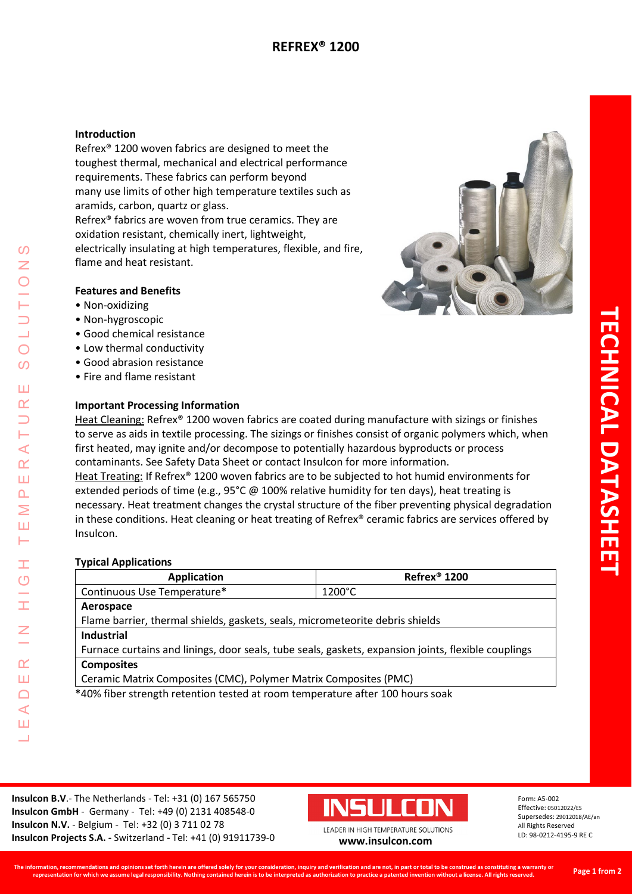## **Introduction**

Refrex® 1200 woven fabrics are designed to meet the toughest thermal, mechanical and electrical performance requirements. These fabrics can perform beyond many use limits of other high temperature textiles such as aramids, carbon, quartz or glass.

Refrex® fabrics are woven from true ceramics. They are oxidation resistant, chemically inert, lightweight, electrically insulating at high temperatures, flexible, and fire, flame and heat resistant.

## **Features and Benefits**

- Non-oxidizing
- Non-hygroscopic
- Good chemical resistance
- Low thermal conductivity
- Good abrasion resistance
- Fire and flame resistant

## **Important Processing Information**

Heat Cleaning: Refrex® 1200 woven fabrics are coated during manufacture with sizings or finishes to serve as aids in textile processing. The sizings or finishes consist of organic polymers which, when first heated, may ignite and/or decompose to potentially hazardous byproducts or process contaminants. See Safety Data Sheet or contact Insulcon for more information. Heat Treating: If Refrex® 1200 woven fabrics are to be subjected to hot humid environments for extended periods of time (e.g., 95°C @ 100% relative humidity for ten days), heat treating is necessary. Heat treatment changes the crystal structure of the fiber preventing physical degradation in these conditions. Heat cleaning or heat treating of Refrex® ceramic fabrics are services offered by Insulcon.

#### **Typical Applications**

| <b>Application</b>                                                                                  | Refrex <sup>®</sup> 1200 |  |  |  |  |
|-----------------------------------------------------------------------------------------------------|--------------------------|--|--|--|--|
| Continuous Use Temperature*                                                                         | $1200^{\circ}$ C         |  |  |  |  |
| Aerospace                                                                                           |                          |  |  |  |  |
| Flame barrier, thermal shields, gaskets, seals, micrometeorite debris shields                       |                          |  |  |  |  |
| Industrial                                                                                          |                          |  |  |  |  |
| Furnace curtains and linings, door seals, tube seals, gaskets, expansion joints, flexible couplings |                          |  |  |  |  |
| <b>Composites</b>                                                                                   |                          |  |  |  |  |
| Ceramic Matrix Composites (CMC), Polymer Matrix Composites (PMC)                                    |                          |  |  |  |  |
| *40% fiber strength retention tested at room temperature after 100 hours soak                       |                          |  |  |  |  |

**Insulcon B.V**.- The Netherlands - Tel: +31 (0) 167 565750 **Insulcon GmbH** - Germany - Tel: +49 (0) 2131 408548-0 **Insulcon N.V.** - Belgium - Tel: +32 (0) 3 711 02 78 **Insulcon Projects S.A. -** Switzerland **-** Tel: +41 (0) 91911739-0 **[www.insulcon.com](http://www.insulcon.com/)**



Form: A5-002 Effective: 05012022/ES Supersedes: 29012018/AE/an All Rights Reserved LD: 98-0212-4195-9 RE C

二

**TECHNICAL DATASHEET**

**ECHNICAL DATASHEE**